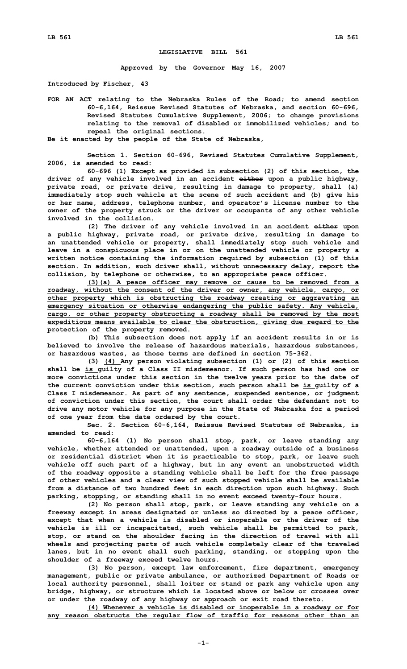## **LEGISLATIVE BILL 561**

**Approved by the Governor May 16, 2007**

**Introduced by Fischer, 43**

**FOR AN ACT relating to the Nebraska Rules of the Road; to amend section 60-6,164, Reissue Revised Statutes of Nebraska, and section 60-696, Revised Statutes Cumulative Supplement, 2006; to change provisions relating to the removal of disabled or immobilized vehicles; and to repeal the original sections.**

**Be it enacted by the people of the State of Nebraska,**

**Section 1. Section 60-696, Revised Statutes Cumulative Supplement, 2006, is amended to read:**

**60-696 (1) Except as provided in subsection (2) of this section, the driver of any vehicle involved in an accident either upon <sup>a</sup> public highway, private road, or private drive, resulting in damage to property, shall (a) immediately stop such vehicle at the scene of such accident and (b) give his or her name, address, telephone number, and operator's license number to the owner of the property struck or the driver or occupants of any other vehicle involved in the collision.**

**(2) The driver of any vehicle involved in an accident either upon <sup>a</sup> public highway, private road, or private drive, resulting in damage to an unattended vehicle or property, shall immediately stop such vehicle and leave in <sup>a</sup> conspicuous place in or on the unattended vehicle or property <sup>a</sup> written notice containing the information required by subsection (1) of this section. In addition, such driver shall, without unnecessary delay, report the collision, by telephone or otherwise, to an appropriate peace officer.**

**(3)(a) <sup>A</sup> peace officer may remove or cause to be removed from <sup>a</sup> roadway, without the consent of the driver or owner, any vehicle, cargo, or other property which is obstructing the roadway creating or aggravating an emergency situation or otherwise endangering the public safety. Any vehicle, cargo, or other property obstructing <sup>a</sup> roadway shall be removed by the most expeditious means available to clear the obstruction, giving due regard to the protection of the property removed.**

**(b) This subsection does not apply if an accident results in or is believed to involve the release of hazardous materials, hazardous substances, or hazardous wastes, as those terms are defined in section 75-362.**

**(3) (4) Any person violating subsection (1) or (2) of this section shall be is guilty of <sup>a</sup> Class II misdemeanor. If such person has had one or more convictions under this section in the twelve years prior to the date of the current conviction under this section, such person shall be is guilty of <sup>a</sup> Class I misdemeanor. As part of any sentence, suspended sentence, or judgment of conviction under this section, the court shall order the defendant not to drive any motor vehicle for any purpose in the State of Nebraska for <sup>a</sup> period of one year from the date ordered by the court.**

**Sec. 2. Section 60-6,164, Reissue Revised Statutes of Nebraska, is amended to read:**

**60-6,164 (1) No person shall stop, park, or leave standing any vehicle, whether attended or unattended, upon <sup>a</sup> roadway outside of <sup>a</sup> business or residential district when it is practicable to stop, park, or leave such vehicle off such part of <sup>a</sup> highway, but in any event an unobstructed width of the roadway opposite <sup>a</sup> standing vehicle shall be left for the free passage of other vehicles and <sup>a</sup> clear view of such stopped vehicle shall be available from <sup>a</sup> distance of two hundred feet in each direction upon such highway. Such parking, stopping, or standing shall in no event exceed twenty-four hours.**

**(2) No person shall stop, park, or leave standing any vehicle on <sup>a</sup> freeway except in areas designated or unless so directed by <sup>a</sup> peace officer, except that when <sup>a</sup> vehicle is disabled or inoperable or the driver of the vehicle is ill or incapacitated, such vehicle shall be permitted to park, stop, or stand on the shoulder facing in the direction of travel with all wheels and projecting parts of such vehicle completely clear of the traveled lanes, but in no event shall such parking, standing, or stopping upon the shoulder of <sup>a</sup> freeway exceed twelve hours.**

**(3) No person, except law enforcement, fire department, emergency management, public or private ambulance, or authorized Department of Roads or local authority personnel, shall loiter or stand or park any vehicle upon any bridge, highway, or structure which is located above or below or crosses over or under the roadway of any highway or approach or exit road thereto.**

**(4) Whenever <sup>a</sup> vehicle is disabled or inoperable in <sup>a</sup> roadway or for any reason obstructs the regular flow of traffic for reasons other than an**